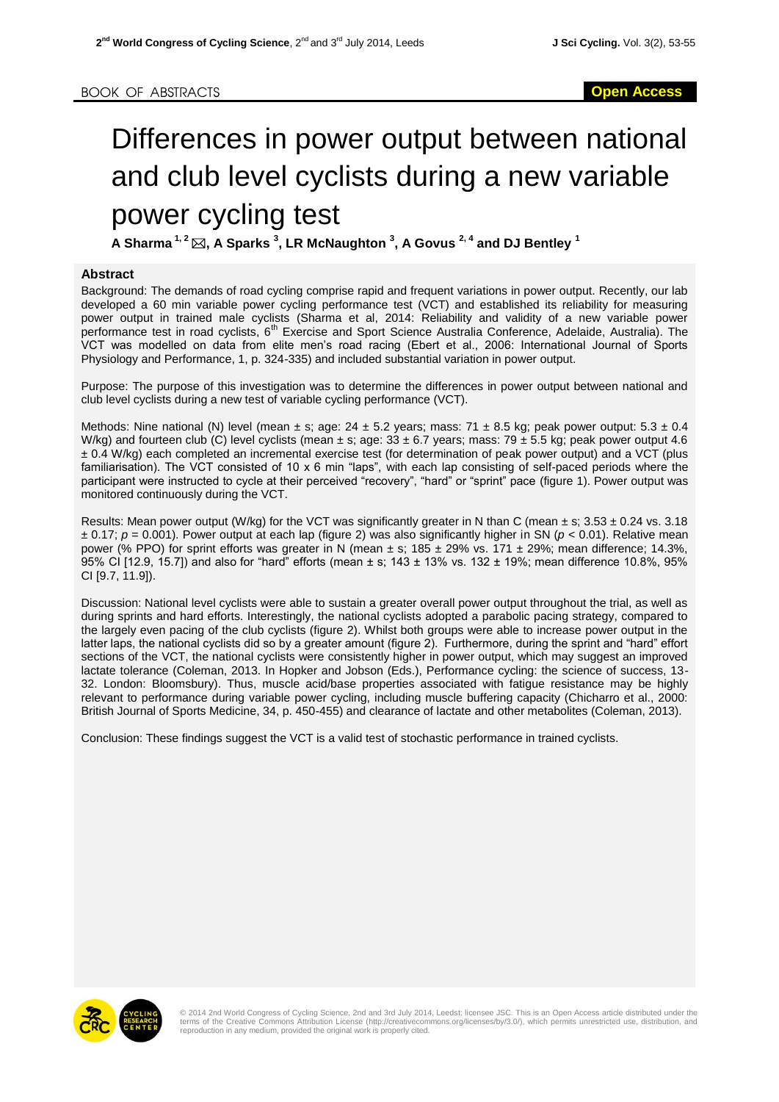## Differences in power output between national and club level cyclists during a new variable power cycling test

**A Sharma 1, <sup>2</sup> , A Sparks <sup>3</sup> , LR McNaughton <sup>3</sup> , A Govus 2, <sup>4</sup> and DJ Bentley <sup>1</sup>**

## **Abstract**

Background: The demands of road cycling comprise rapid and frequent variations in power output. Recently, our lab developed a 60 min variable power cycling performance test (VCT) and established its reliability for measuring power output in trained male cyclists (Sharma et al, 2014: Reliability and validity of a new variable power performance test in road cyclists, 6<sup>th</sup> Exercise and Sport Science Australia Conference, Adelaide, Australia). The VCT was modelled on data from elite men's road racing (Ebert et al., 2006: International Journal of Sports Physiology and Performance, 1, p. 324-335) and included substantial variation in power output.

Purpose: The purpose of this investigation was to determine the differences in power output between national and club level cyclists during a new test of variable cycling performance (VCT).

Methods: Nine national (N) level (mean  $\pm$  s; age: 24  $\pm$  5.2 years; mass: 71  $\pm$  8.5 kg; peak power output: 5.3  $\pm$  0.4 W/kg) and fourteen club (C) level cyclists (mean  $\pm$  s; age: 33  $\pm$  6.7 years; mass: 79  $\pm$  5.5 kg; peak power output 4.6 ± 0.4 W/kg) each completed an incremental exercise test (for determination of peak power output) and a VCT (plus familiarisation). The VCT consisted of 10 x 6 min "laps", with each lap consisting of self-paced periods where the participant were instructed to cycle at their perceived "recovery", "hard" or "sprint" pace (figure 1). Power output was monitored continuously during the VCT.

Results: Mean power output (W/kg) for the VCT was significantly greater in N than C (mean  $\pm$  s; 3.53  $\pm$  0.24 vs. 3.18  $\pm$  0.17;  $p = 0.001$ ). Power output at each lap (figure 2) was also significantly higher in SN ( $p < 0.01$ ). Relative mean power (% PPO) for sprint efforts was greater in N (mean  $\pm$  s; 185  $\pm$  29% vs. 171  $\pm$  29%; mean difference; 14.3%, 95% CI [12.9, 15.7]) and also for "hard" efforts (mean ± s; 143 ± 13% vs. 132 ± 19%; mean difference 10.8%, 95% CI [9.7, 11.9]).

Discussion: National level cyclists were able to sustain a greater overall power output throughout the trial, as well as during sprints and hard efforts. Interestingly, the national cyclists adopted a parabolic pacing strategy, compared to the largely even pacing of the club cyclists (figure 2). Whilst both groups were able to increase power output in the latter laps, the national cyclists did so by a greater amount (figure 2). Furthermore, during the sprint and "hard" effort sections of the VCT, the national cyclists were consistently higher in power output, which may suggest an improved lactate tolerance (Coleman, 2013. In Hopker and Jobson (Eds.), Performance cycling: the science of success, 13- 32. London: Bloomsbury). Thus, muscle acid/base properties associated with fatigue resistance may be highly relevant to performance during variable power cycling, including muscle buffering capacity (Chicharro et al., 2000: British Journal of Sports Medicine, 34, p. 450-455) and clearance of lactate and other metabolites (Coleman, 2013).

Conclusion: These findings suggest the VCT is a valid test of stochastic performance in trained cyclists.



© 2014 2nd World Congress of Cycling Science, 2nd and 3rd July 2014, Leedst; licensee JSC. This is an Open Access article distributed under the<br>terms of the Creative Commons Attribution License (http://creativecommons.org/ reproduction in any medium, provided the original work is properly cited.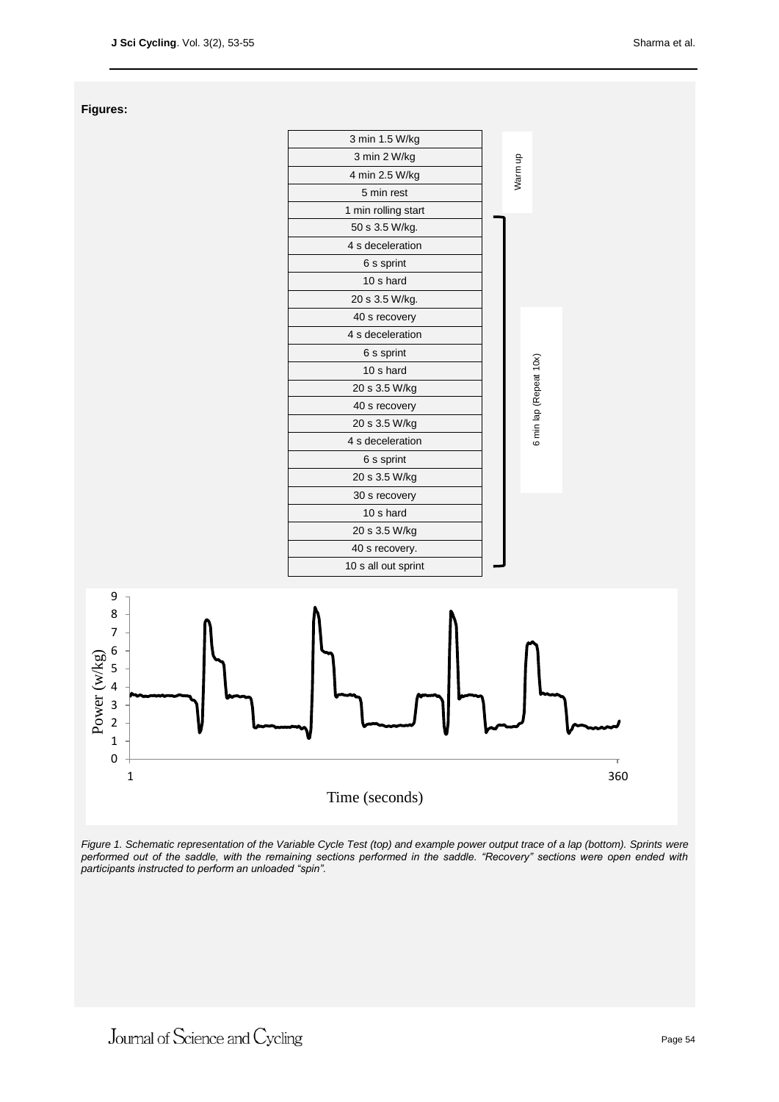**Figures:**



*Figure 1. Schematic representation of the Variable Cycle Test (top) and example power output trace of a lap (bottom). Sprints were*  performed out of the saddle, with the remaining sections performed in the saddle. "Recovery" sections were open ended with *participants instructed to perform an unloaded "spin".*